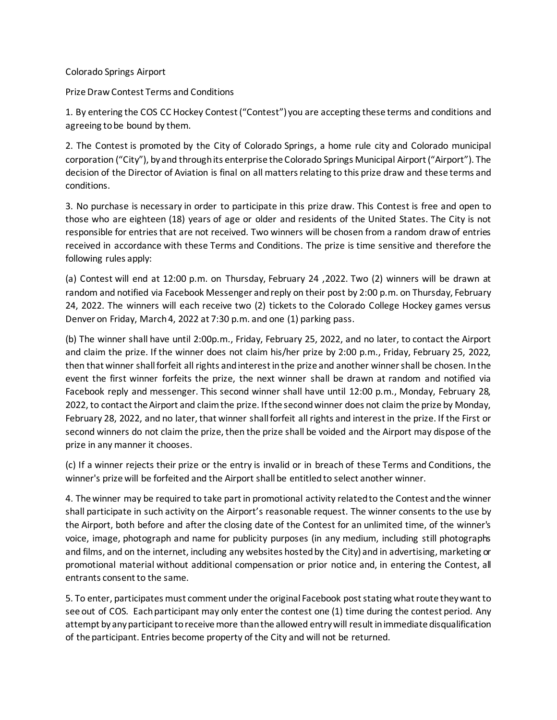## Colorado Springs Airport

Prize Draw Contest Terms and Conditions

1. By entering the COS CC Hockey Contest ("Contest") you are accepting these terms and conditions and agreeing to be bound by them.

2. The Contest is promoted by the City of Colorado Springs, a home rule city and Colorado municipal corporation ("City"), by and through its enterprise the Colorado Springs Municipal Airport ("Airport"). The decision of the Director of Aviation is final on all matters relating to this prize draw and these terms and conditions.

3. No purchase is necessary in order to participate in this prize draw. This Contest is free and open to those who are eighteen (18) years of age or older and residents of the United States. The City is not responsible for entries that are not received. Two winners will be chosen from a random draw of entries received in accordance with these Terms and Conditions. The prize is time sensitive and therefore the following rules apply:

(a) Contest will end at 12:00 p.m. on Thursday, February 24 ,2022. Two (2) winners will be drawn at random and notified via Facebook Messenger and reply on their post by 2:00 p.m. on Thursday, February 24, 2022. The winners will each receive two (2) tickets to the Colorado College Hockey games versus Denver on Friday, March 4, 2022 at 7:30 p.m. and one (1) parking pass.

(b) The winner shall have until 2:00p.m., Friday, February 25, 2022, and no later, to contact the Airport and claim the prize. If the winner does not claim his/her prize by 2:00 p.m., Friday, February 25, 2022, then that winner shall forfeit all rights and interest in the prize and another winner shall be chosen. In the event the first winner forfeits the prize, the next winner shall be drawn at random and notified via Facebook reply and messenger. This second winner shall have until 12:00 p.m., Monday, February 28, 2022, to contact the Airport and claim the prize. If the second winner does not claim the prize by Monday, February 28, 2022, and no later, that winner shall forfeit all rights and interest in the prize. If the First or second winners do not claim the prize, then the prize shall be voided and the Airport may dispose of the prize in any manner it chooses.

(c) If a winner rejects their prize or the entry is invalid or in breach of these Terms and Conditions, the winner's prize will be forfeited and the Airport shall be entitled to select another winner.

4. The winner may be required to take part in promotional activity related to the Contest and the winner shall participate in such activity on the Airport's reasonable request. The winner consents to the use by the Airport, both before and after the closing date of the Contest for an unlimited time, of the winner's voice, image, photograph and name for publicity purposes (in any medium, including still photographs and films, and on the internet, including any websites hosted by the City) and in advertising, marketing or promotional material without additional compensation or prior notice and, in entering the Contest, all entrants consent to the same.

5. To enter, participates must comment under the original Facebook post stating what route they want to see out of COS. Each participant may only enter the contest one (1) time during the contest period. Any attempt by any participant to receive more than the allowed entry will result in immediate disqualification of the participant. Entries become property of the City and will not be returned.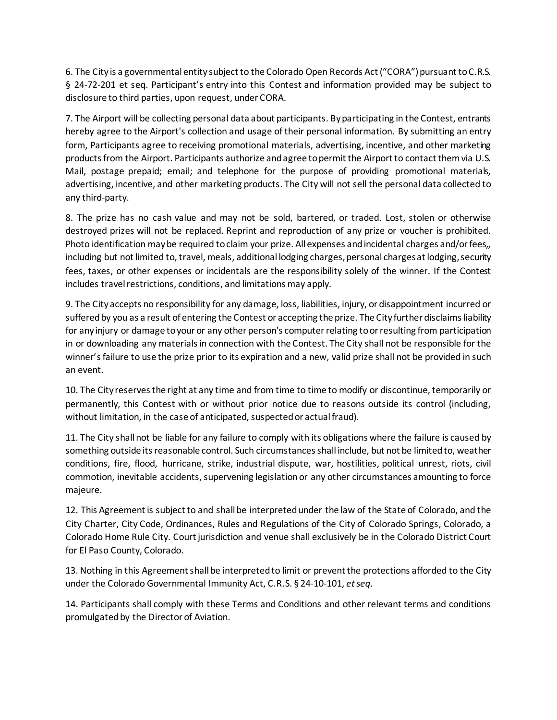6. The City is a governmental entity subject to the Colorado Open Records Act ("CORA") pursuant to C.R.S. § 24-72-201 et seq. Participant's entry into this Contest and information provided may be subject to disclosure to third parties, upon request, under CORA.

7. The Airport will be collecting personal data about participants. By participating in the Contest, entrants hereby agree to the Airport's collection and usage of their personal information. By submitting an entry form, Participants agree to receiving promotional materials, advertising, incentive, and other marketing products from the Airport. Participants authorize and agree to permit the Airport to contact them via U.S. Mail, postage prepaid; email; and telephone for the purpose of providing promotional materials, advertising, incentive, and other marketing products. The City will not sell the personal data collected to any third-party.

8. The prize has no cash value and may not be sold, bartered, or traded. Lost, stolen or otherwise destroyed prizes will not be replaced. Reprint and reproduction of any prize or voucher is prohibited. Photo identification may be required to claim your prize. All expenses and incidental charges and/or fees,, including but not limited to, travel, meals, additional lodging charges, personal charges at lodging, security fees, taxes, or other expenses or incidentals are the responsibility solely of the winner. If the Contest includes travel restrictions, conditions, and limitations may apply.

9. The City accepts no responsibility for any damage, loss, liabilities, injury, or disappointment incurred or suffered by you as a result of entering the Contest or accepting the prize. The City further disclaims liability for any injury or damage to your or any other person's computer relating to or resulting from participation in or downloading any materials in connection with the Contest. The City shall not be responsible for the winner's failure to use the prize prior to its expiration and a new, valid prize shall not be provided in such an event.

10. The City reserves the right at any time and from time to time to modify or discontinue, temporarily or permanently, this Contest with or without prior notice due to reasons outside its control (including, without limitation, in the case of anticipated, suspected or actual fraud).

11. The City shall not be liable for any failure to comply with its obligations where the failure is caused by something outside its reasonable control. Such circumstances shall include, but not be limited to, weather conditions, fire, flood, hurricane, strike, industrial dispute, war, hostilities, political unrest, riots, civil commotion, inevitable accidents, supervening legislation or any other circumstances amounting to force majeure.

12. This Agreement is subject to and shall be interpreted under the law of the State of Colorado, and the City Charter, City Code, Ordinances, Rules and Regulations of the City of Colorado Springs, Colorado, a Colorado Home Rule City. Court jurisdiction and venue shall exclusively be in the Colorado District Court for El Paso County, Colorado.

13. Nothing in this Agreement shall be interpreted to limit or prevent the protections afforded to the City under the Colorado Governmental Immunity Act, C.R.S. § 24-10-101, *et seq*.

14. Participants shall comply with these Terms and Conditions and other relevant terms and conditions promulgated by the Director of Aviation.